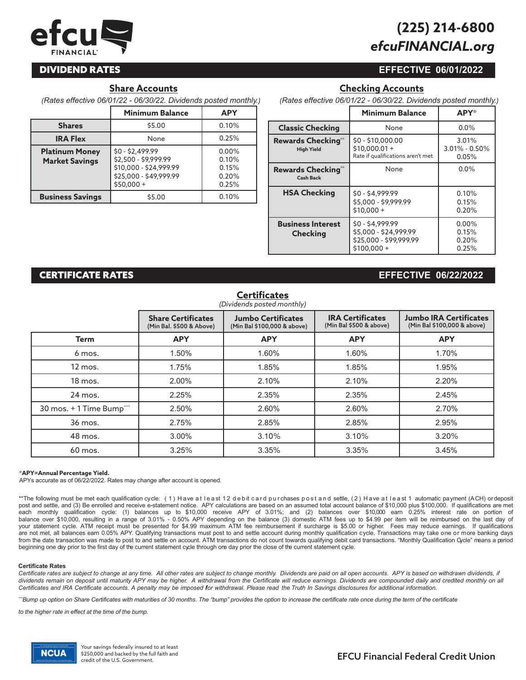# *efcuFINANCIAL.org* **(225) 214-6800**

# **DIVIDEND RATES**

# **Share Accounts**

*(Rates effective 06/01/22 - 06/30/22. Dividends posted monthly.)* 

|                                                | <b>Minimum Balance</b>                                                                                      | <b>APY</b>                                |
|------------------------------------------------|-------------------------------------------------------------------------------------------------------------|-------------------------------------------|
| <b>Shares</b>                                  | \$5.00                                                                                                      | 0.10%                                     |
| <b>IRA Flex</b>                                | None                                                                                                        | 0.25%                                     |
| <b>Platinum Money</b><br><b>Market Savings</b> | $$0 - $2,499.99$<br>\$2,500 - \$9,999.99<br>\$10,000 - \$24,999.99<br>\$25,000 - \$49,999.99<br>$$50.000 +$ | 0.00%<br>0.10%<br>0.15%<br>0.20%<br>0.25% |
| <b>Business Savings</b>                        | \$5.00                                                                                                      | 0.10%                                     |

# **EFFECTIVE 06/01/2022**

**EFFECTIVE 06/22/2022**

**Checking Accounts**

| (Rates effective 06/01/22 - 06/30/22. Dividends posted monthly.) |  |  |
|------------------------------------------------------------------|--|--|
|                                                                  |  |  |

|                                             | <b>Minimum Balance</b>                                                              | <b>APY*</b>                         |
|---------------------------------------------|-------------------------------------------------------------------------------------|-------------------------------------|
| <b>Classic Checking</b>                     | None                                                                                | $0.0\%$                             |
| Rewards Checking**<br><b>High Yield</b>     | $$0 - $10,000.00$<br>$$10.000.01 +$<br>Rate if qualifications aren't met            | 3.01%<br>$3.01\% - 0.50\%$<br>0.05% |
| Rewards Checking**<br><b>Cash Back</b>      | None                                                                                | $0.0\%$                             |
| <b>HSA Checking</b>                         | $$0 - $4,999.99$<br>\$5,000 - \$9,999.99<br>$$10,000 +$                             | 0.10%<br>0.15%<br>0.20%             |
| <b>Business Interest</b><br><b>Checking</b> | $$0 - $4,999.99$<br>\$5,000 - \$24,999.99<br>\$25,000 - \$99,999.99<br>$$100.000 +$ | $0.00\%$<br>0.15%<br>0.20%<br>0.25% |

# **CERTIFICATE RATES**

# **Certificates**

|                          | <b>Share Certificates</b><br>(Min Bal. \$500 & Above) | <b>Jumbo Certificates</b><br>(Min Bal \$100,000 & above) | <b>IRA Certificates</b><br>(Min Bal \$500 & above) | <b>Jumbo IRA Certificates</b><br>(Min Bal \$100,000 & above) |
|--------------------------|-------------------------------------------------------|----------------------------------------------------------|----------------------------------------------------|--------------------------------------------------------------|
| Term                     | <b>APY</b>                                            | <b>APY</b>                                               | <b>APY</b>                                         | <b>APY</b>                                                   |
| 6 mos.                   | 1.50%                                                 | 1.60%                                                    | 1.60%                                              | 1.70%                                                        |
| 12 mos.                  | 1.75%                                                 | 1.85%                                                    | 1.85%                                              | 1.95%                                                        |
| 18 mos.                  | 2.00%                                                 | 2.10%                                                    | 2.10%                                              | 2.20%                                                        |
| 24 mos.                  | 2.25%                                                 | 2.35%                                                    | 2.35%                                              | 2.45%                                                        |
| 30 mos. + 1 Time Bump*** | 2.50%                                                 | 2.60%                                                    | 2.60%                                              | 2.70%                                                        |
| 36 mos.                  | 2.75%                                                 | 2.85%                                                    | 2.85%                                              | 2.95%                                                        |
| 48 mos.                  | 3.00%                                                 | 3.10%                                                    | 3.10%                                              | 3.20%                                                        |
| 60 mos.                  | 3.25%                                                 | 3.35%                                                    | 3.35%                                              | 3.45%                                                        |

#### **\*APY=Annual Percentage Yield.**

APYs accurate as of 06/22/2022. Rates may change after account is opened.

\*\*The following must be met each qualification cycle: (1) H ave at l e a st 12 d e b it c ard purchases post and settle, (2) H ave at l e a st 1 automatic payment (ACH) ordeposit post and settle, and (3) Be enrolled and receive e-statement notice. APY calculations are based on an assumed total account balance of \$10,000 plus \$100,000. If qualifications are met each monthly qualification cycle: (1) balances up to \$10,000 receive APY of 3.01%; and (2) balances over \$10,000 earn 0.25% interest rate on portion of balance over \$10,000, resulting in a range of 3.01% - 0.50% APY depending on the balance (3) domestic ATM fees up to \$4.99 per item will be reimbursed on the last day of your statement cycle. ATM receipt must be presented for \$4.99 maximum ATM fee reimbursement if surcharge is \$5.00 or higher. Fees may reduce earnings. If qualifications are not met, all balances earn 0.05% APY. Qualifying transactions must post to and settle account during monthly qualification cycle. Transactions may take one or more banking days from the date transaction was made to post to and settle on account. ATM transactions do not count towards qualifying debit card transactions. "Monthly Qualification Cycle" means a period beginning one day prior to the first day of the current statement cycle through one day prior the close of the current statement cycle.

#### **Certificate Rates**

Certificate rates are subject to change at any time. All other rates are subject to change monthly. Dividends are paid on all open accounts. APY is based on withdrawn dividends, if dividends remain on deposit until maturity APY may be higher. A withdrawal from the Certificate will reduce earnings. Dividends are compounded daily and credited monthly on all *Certificates and IRA Certificate accounts. A penalty may be imposed ffor withdrawal. Please read the Truth In Savings disclosures for additional information.*

""Bump up option on Share Certificates with maturities of 30 months. The "bump" provides the option to increase the certificate rate once during the term of the certificate

*to the higher rate in effect at the time of the bump.*